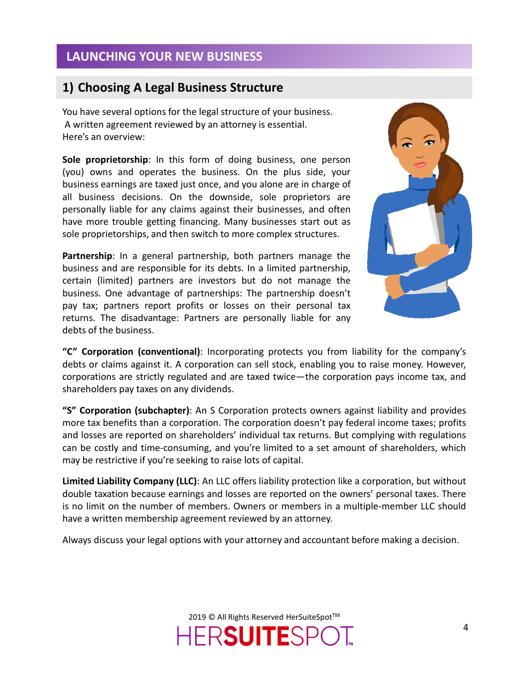### LAUNCHING YOUR NEW BUSINESS

#### 1) Choosing A Legal Business Structure

You have several options for the legal structure of your business. A written agreement reviewed by an attorney is essential. Here's an overview:

Sole proprietorship: In this form of doing business, one person (you) owns and operates the business. On the plus side, your business earnings are taxed just once, and you alone are in charge of all business decisions. On the downside, sole proprietors are personally liable for any claims against their businesses, and often have more trouble getting financing. Many businesses start out as sole proprietorships, and then switch to more complex structures.

Partnership: In a general partnership, both partners manage the business and are responsible for its debts. In a limited partnership, certain (limited) partners are investors but do not manage the business. One advantage of partnerships: The partnership doesn't pay tax; partners report profits or losses on their personal tax returns. The disadvantage: Partners are personally liable for any debts of the business.



"C" Corporation (conventional): Incorporating protects you from liability for the company's debts or claims against it. A corporation can sell stock, enabling you to raise money. However, corporations are strictly regulated and are taxed twice—the corporation pays income tax, and shareholders pay taxes on any dividends.

"S" Corporation (subchapter): An S Corporation protects owners against liability and provides more tax benefits than a corporation. The corporation doesn't pay federal income taxes; profits and losses are reported on shareholders' individual tax returns. But complying with regulations can be costly and time-consuming, and you're limited to a set amount of shareholders, which may be restrictive if you're seeking to raise lots of capital.

Limited Liability Company (LLC): An LLC offers liability protection like a corporation, but without double taxation because earnings and losses are reported on the owners' personal taxes. There is no limit on the number of members. Owners or members in a multiple-member LLC should have a written membership agreement reviewed by an attorney.

Always discuss your legal options with your attorney and accountant before making a decision.

2019 © All Rights Reserved HerSuiteSpot™